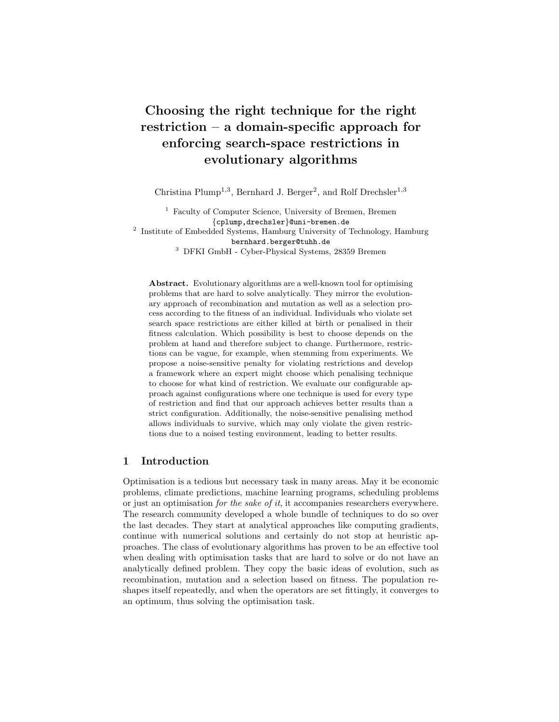# Choosing the right technique for the right restriction – a domain-specific approach for enforcing search-space restrictions in evolutionary algorithms

Christina Plump<sup>1,3</sup>, Bernhard J. Berger<sup>2</sup>, and Rolf Drechsler<sup>1,3</sup>

<sup>1</sup> Faculty of Computer Science, University of Bremen, Bremen {cplump,drechsler}@uni-bremen.de

<sup>2</sup> Institute of Embedded Systems, Hamburg University of Technology, Hamburg bernhard.berger@tuhh.de

<sup>3</sup> DFKI GmbH - Cyber-Physical Systems, 28359 Bremen

Abstract. Evolutionary algorithms are a well-known tool for optimising problems that are hard to solve analytically. They mirror the evolutionary approach of recombination and mutation as well as a selection process according to the fitness of an individual. Individuals who violate set search space restrictions are either killed at birth or penalised in their fitness calculation. Which possibility is best to choose depends on the problem at hand and therefore subject to change. Furthermore, restrictions can be vague, for example, when stemming from experiments. We propose a noise-sensitive penalty for violating restrictions and develop a framework where an expert might choose which penalising technique to choose for what kind of restriction. We evaluate our configurable approach against configurations where one technique is used for every type of restriction and find that our approach achieves better results than a strict configuration. Additionally, the noise-sensitive penalising method allows individuals to survive, which may only violate the given restrictions due to a noised testing environment, leading to better results.

# 1 Introduction

Optimisation is a tedious but necessary task in many areas. May it be economic problems, climate predictions, machine learning programs, scheduling problems or just an optimisation for the sake of it, it accompanies researchers everywhere. The research community developed a whole bundle of techniques to do so over the last decades. They start at analytical approaches like computing gradients, continue with numerical solutions and certainly do not stop at heuristic approaches. The class of evolutionary algorithms has proven to be an effective tool when dealing with optimisation tasks that are hard to solve or do not have an analytically defined problem. They copy the basic ideas of evolution, such as recombination, mutation and a selection based on fitness. The population reshapes itself repeatedly, and when the operators are set fittingly, it converges to an optimum, thus solving the optimisation task.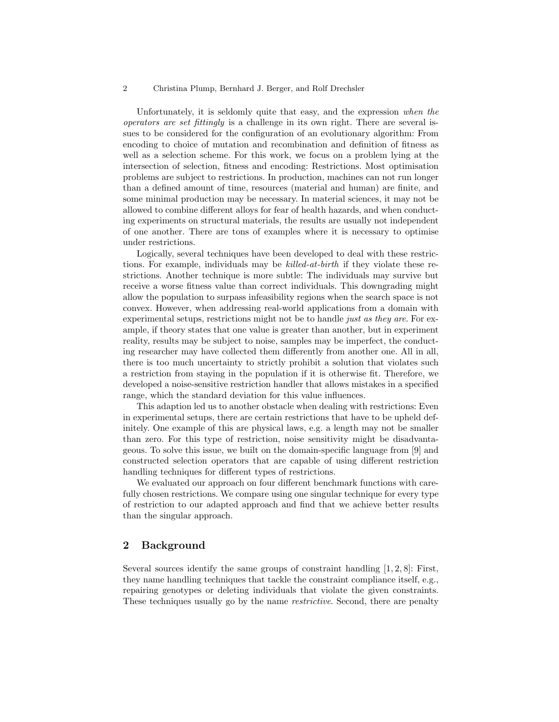#### 2 Christina Plump, Bernhard J. Berger, and Rolf Drechsler

Unfortunately, it is seldomly quite that easy, and the expression when the operators are set fittingly is a challenge in its own right. There are several issues to be considered for the configuration of an evolutionary algorithm: From encoding to choice of mutation and recombination and definition of fitness as well as a selection scheme. For this work, we focus on a problem lying at the intersection of selection, fitness and encoding: Restrictions. Most optimisation problems are subject to restrictions. In production, machines can not run longer than a defined amount of time, resources (material and human) are finite, and some minimal production may be necessary. In material sciences, it may not be allowed to combine different alloys for fear of health hazards, and when conducting experiments on structural materials, the results are usually not independent of one another. There are tons of examples where it is necessary to optimise under restrictions.

Logically, several techniques have been developed to deal with these restrictions. For example, individuals may be *killed-at-birth* if they violate these restrictions. Another technique is more subtle: The individuals may survive but receive a worse fitness value than correct individuals. This downgrading might allow the population to surpass infeasibility regions when the search space is not convex. However, when addressing real-world applications from a domain with experimental setups, restrictions might not be to handle *just as they are*. For example, if theory states that one value is greater than another, but in experiment reality, results may be subject to noise, samples may be imperfect, the conducting researcher may have collected them differently from another one. All in all, there is too much uncertainty to strictly prohibit a solution that violates such a restriction from staying in the population if it is otherwise fit. Therefore, we developed a noise-sensitive restriction handler that allows mistakes in a specified range, which the standard deviation for this value influences.

This adaption led us to another obstacle when dealing with restrictions: Even in experimental setups, there are certain restrictions that have to be upheld definitely. One example of this are physical laws, e.g. a length may not be smaller than zero. For this type of restriction, noise sensitivity might be disadvantageous. To solve this issue, we built on the domain-specific language from [9] and constructed selection operators that are capable of using different restriction handling techniques for different types of restrictions.

We evaluated our approach on four different benchmark functions with carefully chosen restrictions. We compare using one singular technique for every type of restriction to our adapted approach and find that we achieve better results than the singular approach.

### 2 Background

Several sources identify the same groups of constraint handling  $[1, 2, 8]$ : First, they name handling techniques that tackle the constraint compliance itself, e.g., repairing genotypes or deleting individuals that violate the given constraints. These techniques usually go by the name *restrictive*. Second, there are penalty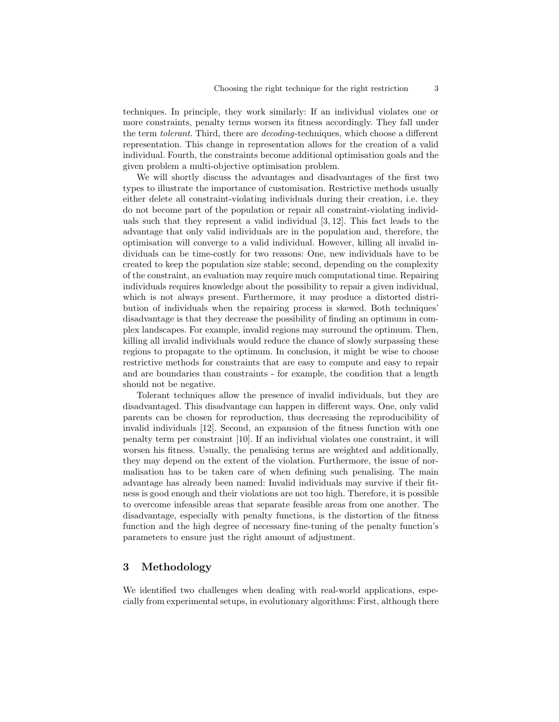techniques. In principle, they work similarly: If an individual violates one or more constraints, penalty terms worsen its fitness accordingly. They fall under the term tolerant. Third, there are decoding-techniques, which choose a different representation. This change in representation allows for the creation of a valid individual. Fourth, the constraints become additional optimisation goals and the given problem a multi-objective optimisation problem.

We will shortly discuss the advantages and disadvantages of the first two types to illustrate the importance of customisation. Restrictive methods usually either delete all constraint-violating individuals during their creation, i.e. they do not become part of the population or repair all constraint-violating individuals such that they represent a valid individual [3, 12]. This fact leads to the advantage that only valid individuals are in the population and, therefore, the optimisation will converge to a valid individual. However, killing all invalid individuals can be time-costly for two reasons: One, new individuals have to be created to keep the population size stable; second, depending on the complexity of the constraint, an evaluation may require much computational time. Repairing individuals requires knowledge about the possibility to repair a given individual, which is not always present. Furthermore, it may produce a distorted distribution of individuals when the repairing process is skewed. Both techniques' disadvantage is that they decrease the possibility of finding an optimum in complex landscapes. For example, invalid regions may surround the optimum. Then, killing all invalid individuals would reduce the chance of slowly surpassing these regions to propagate to the optimum. In conclusion, it might be wise to choose restrictive methods for constraints that are easy to compute and easy to repair and are boundaries than constraints - for example, the condition that a length should not be negative.

Tolerant techniques allow the presence of invalid individuals, but they are disadvantaged. This disadvantage can happen in different ways. One, only valid parents can be chosen for reproduction, thus decreasing the reproducibility of invalid individuals [12]. Second, an expansion of the fitness function with one penalty term per constraint [10]. If an individual violates one constraint, it will worsen his fitness. Usually, the penalising terms are weighted and additionally, they may depend on the extent of the violation. Furthermore, the issue of normalisation has to be taken care of when defining such penalising. The main advantage has already been named: Invalid individuals may survive if their fitness is good enough and their violations are not too high. Therefore, it is possible to overcome infeasible areas that separate feasible areas from one another. The disadvantage, especially with penalty functions, is the distortion of the fitness function and the high degree of necessary fine-tuning of the penalty function's parameters to ensure just the right amount of adjustment.

# 3 Methodology

We identified two challenges when dealing with real-world applications, especially from experimental setups, in evolutionary algorithms: First, although there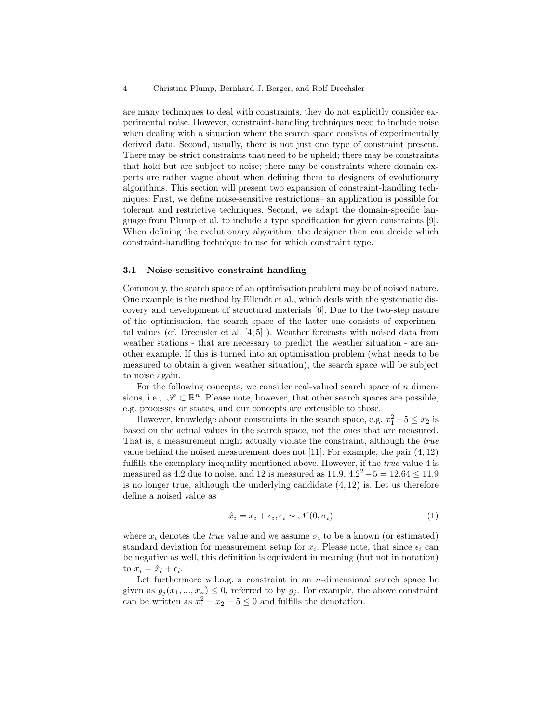are many techniques to deal with constraints, they do not explicitly consider experimental noise. However, constraint-handling techniques need to include noise when dealing with a situation where the search space consists of experimentally derived data. Second, usually, there is not just one type of constraint present. There may be strict constraints that need to be upheld; there may be constraints that hold but are subject to noise; there may be constraints where domain experts are rather vague about when defining them to designers of evolutionary algorithms. This section will present two expansion of constraint-handling techniques: First, we define noise-sensitive restrictions– an application is possible for tolerant and restrictive techniques. Second, we adapt the domain-specific language from Plump et al. to include a type specification for given constraints [9]. When defining the evolutionary algorithm, the designer then can decide which constraint-handling technique to use for which constraint type.

#### 3.1 Noise-sensitive constraint handling

Commonly, the search space of an optimisation problem may be of noised nature. One example is the method by Ellendt et al., which deals with the systematic discovery and development of structural materials [6]. Due to the two-step nature of the optimisation, the search space of the latter one consists of experimental values (cf. Drechsler et al. [4, 5] ). Weather forecasts with noised data from weather stations - that are necessary to predict the weather situation - are another example. If this is turned into an optimisation problem (what needs to be measured to obtain a given weather situation), the search space will be subject to noise again.

For the following concepts, we consider real-valued search space of  $n$  dimensions, i.e.,.  $\mathscr{S} \subset \mathbb{R}^n$ . Please note, however, that other search spaces are possible, e.g. processes or states, and our concepts are extensible to those.

However, knowledge about constraints in the search space, e.g.  $x_1^2 - 5 \le x_2$  is based on the actual values in the search space, not the ones that are measured. That is, a measurement might actually violate the constraint, although the true value behind the noised measurement does not [11]. For example, the pair  $(4, 12)$ fulfills the exemplary inequality mentioned above. However, if the true value 4 is measured as 4.2 due to noise, and 12 is measured as  $11.9, 4.2^2 - 5 = 12.64 \le 11.9$ is no longer true, although the underlying candidate  $(4, 12)$  is. Let us therefore define a noised value as

$$
\hat{x}_i = x_i + \epsilon_i, \epsilon_i \sim \mathcal{N}(0, \sigma_i) \tag{1}
$$

where  $x_i$  denotes the *true* value and we assume  $\sigma_i$  to be a known (or estimated) standard deviation for measurement setup for  $x_i$ . Please note, that since  $\epsilon_i$  can be negative as well, this definition is equivalent in meaning (but not in notation) to  $x_i = \hat{x}_i + \epsilon_i$ .

Let furthermore w.l.o.g. a constraint in an n-dimensional search space be given as  $g_j(x_1, ..., x_n) \leq 0$ , referred to by  $g_j$ . For example, the above constraint can be written as  $x_1^2 - x_2 - 5 \le 0$  and fulfills the denotation.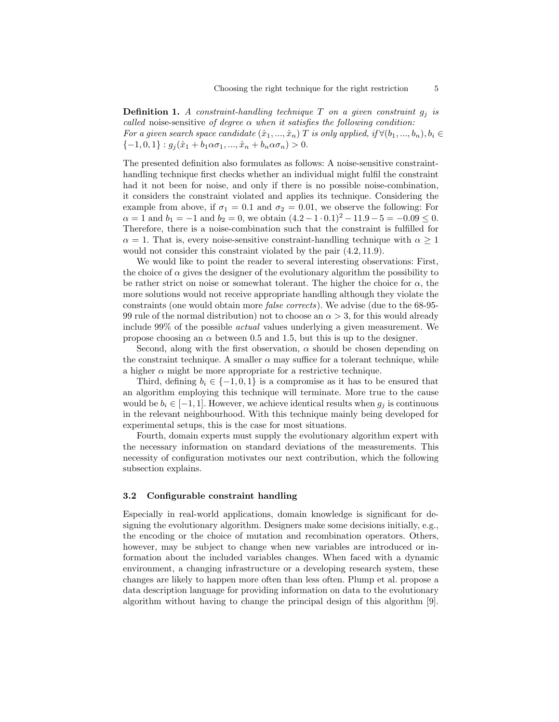**Definition 1.** A constraint-handling technique T on a given constraint  $g_i$  is called noise-sensitive of degree  $\alpha$  when it satisfies the following condition: For a given search space candidate  $(\hat{x}_1, ..., \hat{x}_n)$  T is only applied, if  $\forall (b_1, ..., b_n), b_i \in$  ${-1, 0, 1} : g_j(\hat{x}_1 + b_1 \alpha \sigma_1, ..., \hat{x}_n + b_n \alpha \sigma_n) > 0.$ 

The presented definition also formulates as follows: A noise-sensitive constrainthandling technique first checks whether an individual might fulfil the constraint had it not been for noise, and only if there is no possible noise-combination, it considers the constraint violated and applies its technique. Considering the example from above, if  $\sigma_1 = 0.1$  and  $\sigma_2 = 0.01$ , we observe the following: For  $\alpha = 1$  and  $b_1 = -1$  and  $b_2 = 0$ , we obtain  $(4.2 - 1 \cdot 0.1)^2 - 11.9 - 5 = -0.09 \le 0$ . Therefore, there is a noise-combination such that the constraint is fulfilled for  $\alpha = 1$ . That is, every noise-sensitive constraint-handling technique with  $\alpha \geq 1$ would not consider this constraint violated by the pair (4.2, 11.9).

We would like to point the reader to several interesting observations: First, the choice of  $\alpha$  gives the designer of the evolutionary algorithm the possibility to be rather strict on noise or somewhat tolerant. The higher the choice for  $\alpha$ , the more solutions would not receive appropriate handling although they violate the constraints (one would obtain more false corrects). We advise (due to the 68-95- 99 rule of the normal distribution) not to choose an  $\alpha > 3$ , for this would already include 99% of the possible actual values underlying a given measurement. We propose choosing an  $\alpha$  between 0.5 and 1.5, but this is up to the designer.

Second, along with the first observation,  $\alpha$  should be chosen depending on the constraint technique. A smaller  $\alpha$  may suffice for a tolerant technique, while a higher  $\alpha$  might be more appropriate for a restrictive technique.

Third, defining  $b_i \in \{-1, 0, 1\}$  is a compromise as it has to be ensured that an algorithm employing this technique will terminate. More true to the cause would be  $b_i \in [-1, 1]$ . However, we achieve identical results when  $g_i$  is continuous in the relevant neighbourhood. With this technique mainly being developed for experimental setups, this is the case for most situations.

Fourth, domain experts must supply the evolutionary algorithm expert with the necessary information on standard deviations of the measurements. This necessity of configuration motivates our next contribution, which the following subsection explains.

### 3.2 Configurable constraint handling

Especially in real-world applications, domain knowledge is significant for designing the evolutionary algorithm. Designers make some decisions initially, e.g., the encoding or the choice of mutation and recombination operators. Others, however, may be subject to change when new variables are introduced or information about the included variables changes. When faced with a dynamic environment, a changing infrastructure or a developing research system, these changes are likely to happen more often than less often. Plump et al. propose a data description language for providing information on data to the evolutionary algorithm without having to change the principal design of this algorithm [9].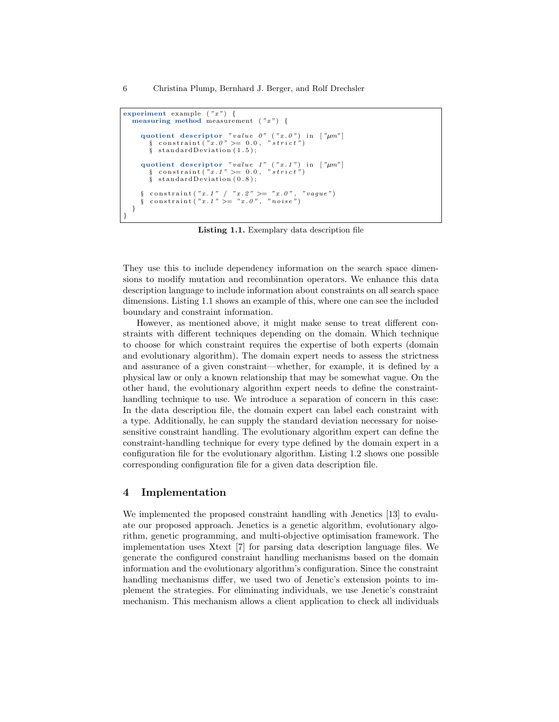```
experiment example ('x") {
   measuring method measurement ('x") {
       quotient descriptor "value 0" ("x. 0") in ["\mum"]<br>§ constraint("x. 0" >= 0.0, "strict")
          \S standard Deviation (1.5);
       quotient descriptor "value 1" ("x.1") in ["\mu m"]<br>§ constraint("x.1") \ge 0.0, "strict")<br>§ standardDeviation (0.8);
       \S constraint ("x.1" / "x.2" >= "x.0", "vague")<br>\S constraint ("x.1" >= "x.0", "noise")
   }
}
```
Listing 1.1. Exemplary data description file

They use this to include dependency information on the search space dimensions to modify mutation and recombination operators. We enhance this data description language to include information about constraints on all search space dimensions. Listing 1.1 shows an example of this, where one can see the included boundary and constraint information.

However, as mentioned above, it might make sense to treat different constraints with different techniques depending on the domain. Which technique to choose for which constraint requires the expertise of both experts (domain and evolutionary algorithm). The domain expert needs to assess the strictness and assurance of a given constraint—whether, for example, it is defined by a physical law or only a known relationship that may be somewhat vague. On the other hand, the evolutionary algorithm expert needs to define the constrainthandling technique to use. We introduce a separation of concern in this case: In the data description file, the domain expert can label each constraint with a type. Additionally, he can supply the standard deviation necessary for noisesensitive constraint handling. The evolutionary algorithm expert can define the constraint-handling technique for every type defined by the domain expert in a configuration file for the evolutionary algorithm. Listing 1.2 shows one possible corresponding configuration file for a given data description file.

### 4 Implementation

We implemented the proposed constraint handling with Jenetics [13] to evaluate our proposed approach. Jenetics is a genetic algorithm, evolutionary algorithm, genetic programming, and multi-objective optimisation framework. The implementation uses Xtext [7] for parsing data description language files. We generate the configured constraint handling mechanisms based on the domain information and the evolutionary algorithm's configuration. Since the constraint handling mechanisms differ, we used two of Jenetic's extension points to implement the strategies. For eliminating individuals, we use Jenetic's constraint mechanism. This mechanism allows a client application to check all individuals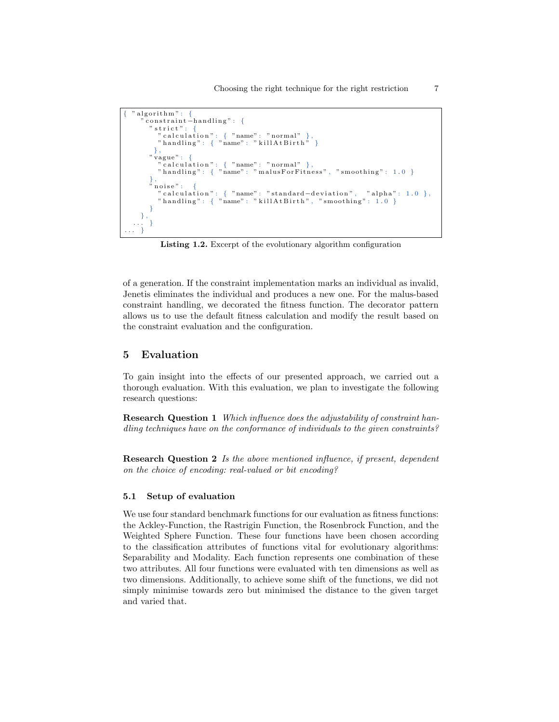```
" algorithm": \{\frac{1}{2} constraint -h and ling": {
       " strict":
           " calculation": { "name": "normal" },<br>"handling": { "name": "killAtBirth" }
       } ,
" vague " : {
           "calculation": { "name": "normal" },<br>"handling": { "name": "malusForFitness", "smoothing": 1.0 }
       } ,
        noise":
           "calculation": { "name": "standard−deviation", "alpha": 1.0 },<br>"handling": { "name": "killAtBirth", "smoothing": 1.0 }
       }
   } ,
      \rightarrow\cdot }
```
Listing 1.2. Excerpt of the evolutionary algorithm configuration

of a generation. If the constraint implementation marks an individual as invalid, Jenetis eliminates the individual and produces a new one. For the malus-based constraint handling, we decorated the fitness function. The decorator pattern allows us to use the default fitness calculation and modify the result based on the constraint evaluation and the configuration.

## 5 Evaluation

To gain insight into the effects of our presented approach, we carried out a thorough evaluation. With this evaluation, we plan to investigate the following research questions:

Research Question 1 Which influence does the adjustability of constraint handling techniques have on the conformance of individuals to the given constraints?

Research Question 2 Is the above mentioned influence, if present, dependent on the choice of encoding: real-valued or bit encoding?

#### 5.1 Setup of evaluation

We use four standard benchmark functions for our evaluation as fitness functions: the Ackley-Function, the Rastrigin Function, the Rosenbrock Function, and the Weighted Sphere Function. These four functions have been chosen according to the classification attributes of functions vital for evolutionary algorithms: Separability and Modality. Each function represents one combination of these two attributes. All four functions were evaluated with ten dimensions as well as two dimensions. Additionally, to achieve some shift of the functions, we did not simply minimise towards zero but minimised the distance to the given target and varied that.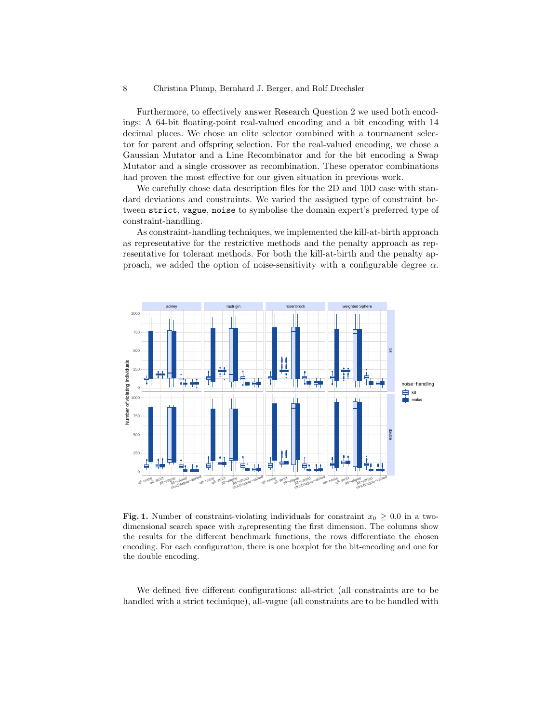#### 8 Christina Plump, Bernhard J. Berger, and Rolf Drechsler

Furthermore, to effectively answer Research Question 2 we used both encodings: A 64-bit floating-point real-valued encoding and a bit encoding with 14 decimal places. We chose an elite selector combined with a tournament selector for parent and offspring selection. For the real-valued encoding, we chose a Gaussian Mutator and a Line Recombinator and for the bit encoding a Swap Mutator and a single crossover as recombination. These operator combinations had proven the most effective for our given situation in previous work.

We carefully chose data description files for the 2D and 10D case with standard deviations and constraints. We varied the assigned type of constraint between strict, vague, noise to symbolise the domain expert's preferred type of constraint-handling.

As constraint-handling techniques, we implemented the kill-at-birth approach as representative for the restrictive methods and the penalty approach as representative for tolerant methods. For both the kill-at-birth and the penalty approach, we added the option of noise-sensitivity with a configurable degree  $\alpha$ .



**Fig. 1.** Number of constraint-violating individuals for constraint  $x_0 \geq 0.0$  in a twodimensional search space with  $x_0$  representing the first dimension. The columns show the results for the different benchmark functions, the rows differentiate the chosen encoding. For each configuration, there is one boxplot for the bit-encoding and one for the double encoding.

We defined five different configurations: all-strict (all constraints are to be handled with a strict technique), all-vague (all constraints are to be handled with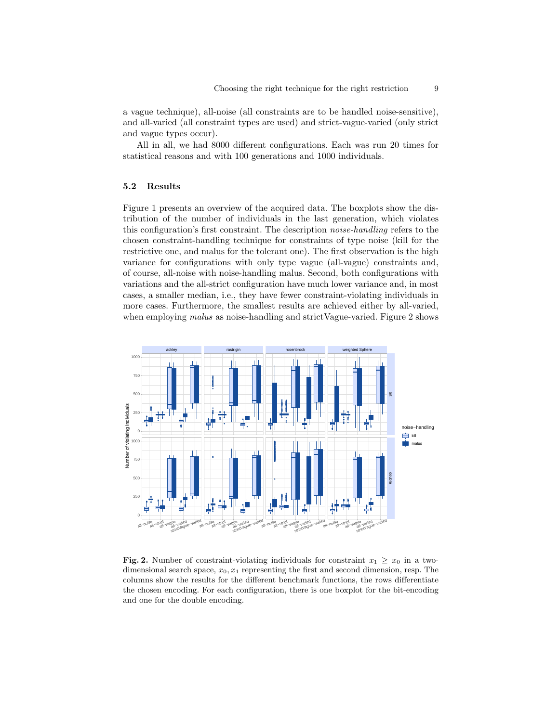a vague technique), all-noise (all constraints are to be handled noise-sensitive), and all-varied (all constraint types are used) and strict-vague-varied (only strict and vague types occur).

All in all, we had 8000 different configurations. Each was run 20 times for statistical reasons and with 100 generations and 1000 individuals.

### 5.2 Results

Figure 1 presents an overview of the acquired data. The boxplots show the distribution of the number of individuals in the last generation, which violates this configuration's first constraint. The description noise-handling refers to the chosen constraint-handling technique for constraints of type noise (kill for the restrictive one, and malus for the tolerant one). The first observation is the high variance for configurations with only type vague (all-vague) constraints and, of course, all-noise with noise-handling malus. Second, both configurations with variations and the all-strict configuration have much lower variance and, in most cases, a smaller median, i.e., they have fewer constraint-violating individuals in more cases. Furthermore, the smallest results are achieved either by all-varied, when employing *malus* as noise-handling and strictVague-varied. Figure 2 shows



Fig. 2. Number of constraint-violating individuals for constraint  $x_1 \geq x_0$  in a twodimensional search space,  $x_0, x_1$  representing the first and second dimension, resp. The columns show the results for the different benchmark functions, the rows differentiate the chosen encoding. For each configuration, there is one boxplot for the bit-encoding and one for the double encoding.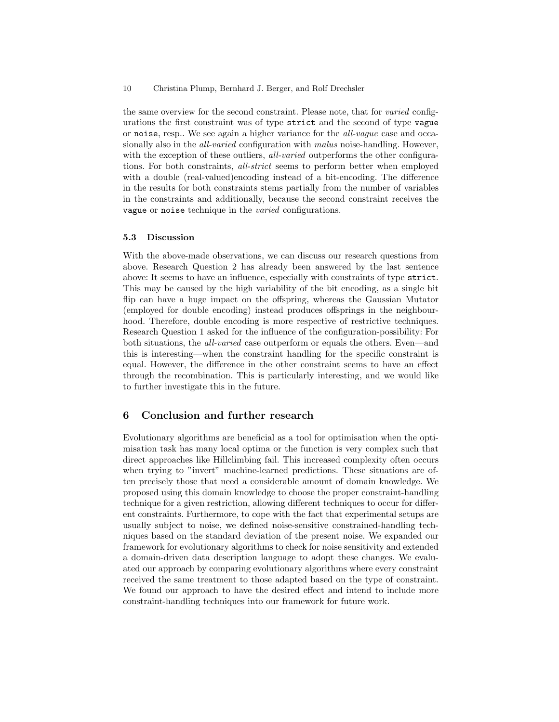#### 10 Christina Plump, Bernhard J. Berger, and Rolf Drechsler

the same overview for the second constraint. Please note, that for varied configurations the first constraint was of type strict and the second of type vague or noise, resp.. We see again a higher variance for the all-vague case and occasionally also in the *all-varied* configuration with *malus* noise-handling. However, with the exception of these outliers, all-varied outperforms the other configurations. For both constraints, all-strict seems to perform better when employed with a double (real-valued)encoding instead of a bit-encoding. The difference in the results for both constraints stems partially from the number of variables in the constraints and additionally, because the second constraint receives the vague or noise technique in the varied configurations.

### 5.3 Discussion

With the above-made observations, we can discuss our research questions from above. Research Question 2 has already been answered by the last sentence above: It seems to have an influence, especially with constraints of type strict. This may be caused by the high variability of the bit encoding, as a single bit flip can have a huge impact on the offspring, whereas the Gaussian Mutator (employed for double encoding) instead produces offsprings in the neighbourhood. Therefore, double encoding is more respective of restrictive techniques. Research Question 1 asked for the influence of the configuration-possibility: For both situations, the all-varied case outperform or equals the others. Even—and this is interesting—when the constraint handling for the specific constraint is equal. However, the difference in the other constraint seems to have an effect through the recombination. This is particularly interesting, and we would like to further investigate this in the future.

## 6 Conclusion and further research

Evolutionary algorithms are beneficial as a tool for optimisation when the optimisation task has many local optima or the function is very complex such that direct approaches like Hillclimbing fail. This increased complexity often occurs when trying to "invert" machine-learned predictions. These situations are often precisely those that need a considerable amount of domain knowledge. We proposed using this domain knowledge to choose the proper constraint-handling technique for a given restriction, allowing different techniques to occur for different constraints. Furthermore, to cope with the fact that experimental setups are usually subject to noise, we defined noise-sensitive constrained-handling techniques based on the standard deviation of the present noise. We expanded our framework for evolutionary algorithms to check for noise sensitivity and extended a domain-driven data description language to adopt these changes. We evaluated our approach by comparing evolutionary algorithms where every constraint received the same treatment to those adapted based on the type of constraint. We found our approach to have the desired effect and intend to include more constraint-handling techniques into our framework for future work.